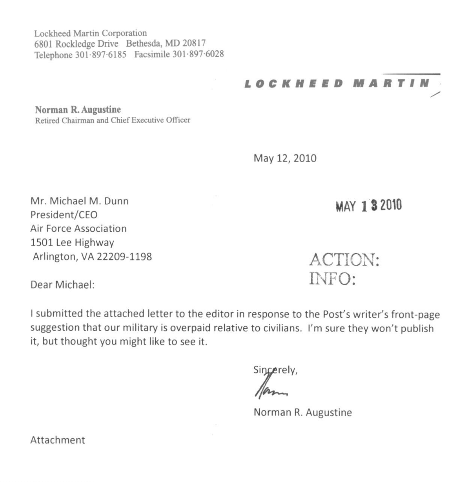Lockheed Martin Corporation 6801 Rockledge Drive Bethesda, MD 20817 Telephone 301-897-6185 Facsimile 301-897-6028

## **LOCKHEED MARTIN**

**Norman R. Augustine**  Retired Chairman and Chief Executive Officer

May 12, 2010

Mr. Michael M. Dunn President/CEO Air Force Association 1501 Lee Highway Arlington, VA 22209-1198

Dear Michael:

I submitted the attached letter to the editor in response to the Post's writer's front-page suggestion that our military is overpaid relative to civilians. I'm sure they won't publish it, but thought you might like to see it.

Sincerely,

Norman R. Augustine

Attachment

**MAY 1 3 2010** 

ACTION: INFO: